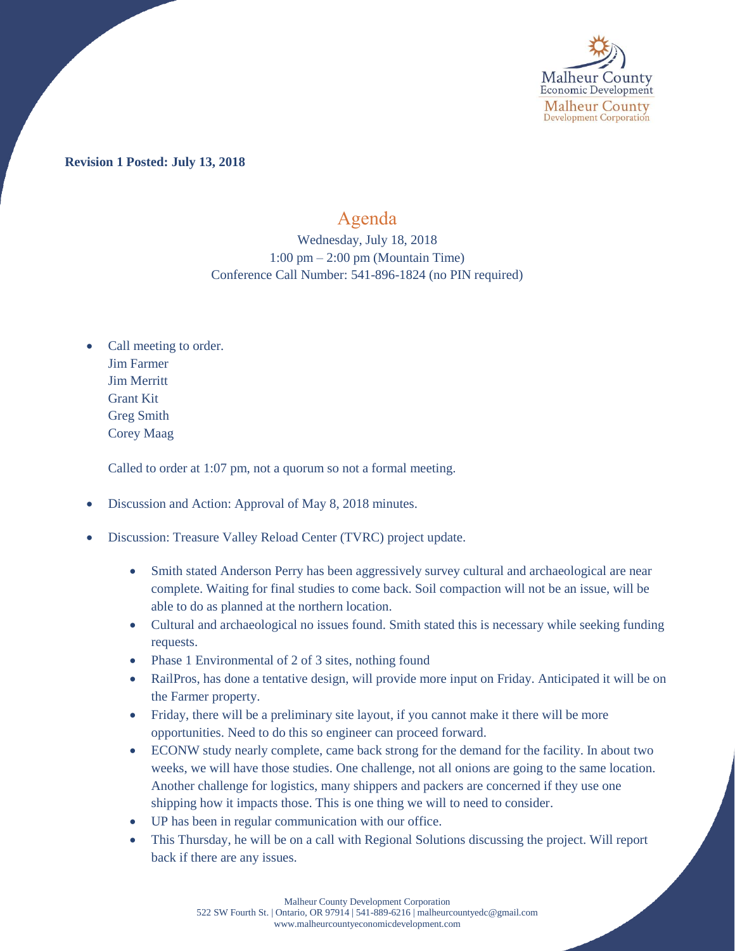

**Revision 1 Posted: July 13, 2018**

## Agenda

Wednesday, July 18, 2018 1:00 pm – 2:00 pm (Mountain Time) Conference Call Number: 541-896-1824 (no PIN required)

• Call meeting to order. Jim Farmer Jim Merritt Grant Kit Greg Smith Corey Maag

Called to order at 1:07 pm, not a quorum so not a formal meeting.

- Discussion and Action: Approval of May 8, 2018 minutes.
- Discussion: Treasure Valley Reload Center (TVRC) project update.
	- Smith stated Anderson Perry has been aggressively survey cultural and archaeological are near complete. Waiting for final studies to come back. Soil compaction will not be an issue, will be able to do as planned at the northern location.
	- Cultural and archaeological no issues found. Smith stated this is necessary while seeking funding requests.
	- Phase 1 Environmental of 2 of 3 sites, nothing found
	- RailPros, has done a tentative design, will provide more input on Friday. Anticipated it will be on the Farmer property.
	- Friday, there will be a preliminary site layout, if you cannot make it there will be more opportunities. Need to do this so engineer can proceed forward.
	- ECONW study nearly complete, came back strong for the demand for the facility. In about two weeks, we will have those studies. One challenge, not all onions are going to the same location. Another challenge for logistics, many shippers and packers are concerned if they use one shipping how it impacts those. This is one thing we will to need to consider.
	- UP has been in regular communication with our office.
	- This Thursday, he will be on a call with Regional Solutions discussing the project. Will report back if there are any issues.